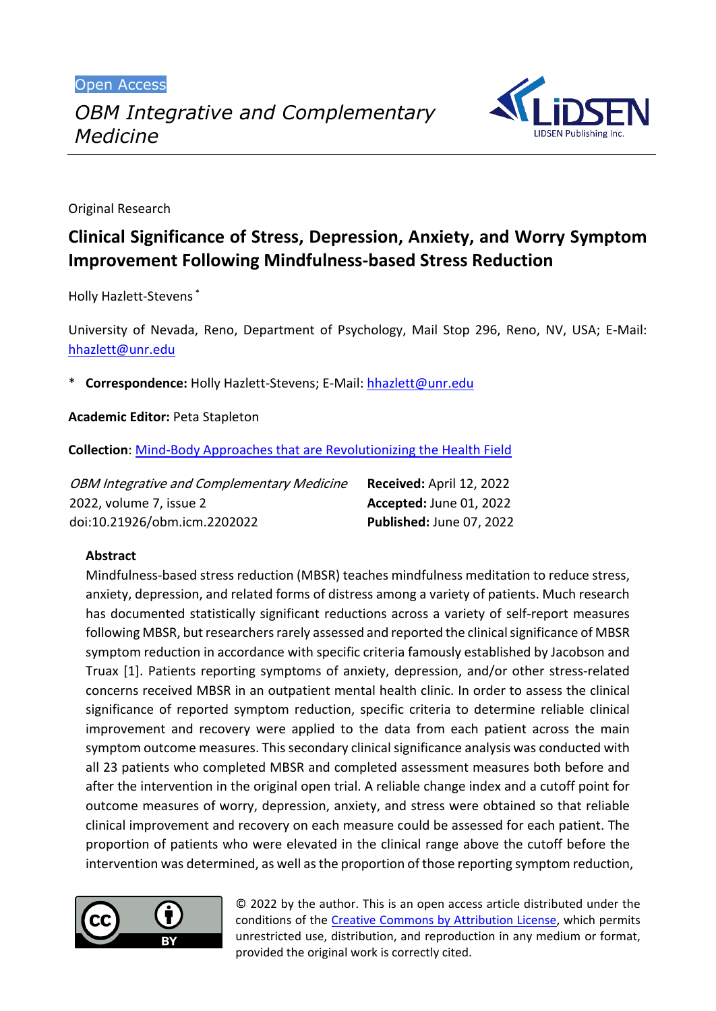Open Access



Original Research

# **Clinical Significance of Stress, Depression, Anxiety, and Worry Symptom Improvement Following Mindfulness-based Stress Reduction**

Holly Hazlett-Stevens \*

University of Nevada, Reno, Department of Psychology, Mail Stop 296, Reno, NV, USA; E-Mail: [hhazlett@unr.edu](mailto:hhazlett@unr.edu)

\* **Correspondence:** Holly Hazlett-Stevens; E-Mail: [hhazlett@unr.edu](mailto:hhazlett@unr.edu)

**Academic Editor:** Peta Stapleton

**Collection**: [Mind-Body Approaches that are Revolutionizing the Health Field](https://www.lidsen.com/journals/icm/icm-collection/mind-body-approaches)

| <b>OBM Integrative and Complementary Medicine</b> | <b>Received: April 12, 2022</b> |
|---------------------------------------------------|---------------------------------|
| 2022, volume 7, issue 2                           | Accepted: June 01, 2022         |
| doi:10.21926/obm.icm.2202022                      | Published: June 07, 2022        |

### **Abstract**

Mindfulness-based stress reduction (MBSR) teaches mindfulness meditation to reduce stress, anxiety, depression, and related forms of distress among a variety of patients. Much research has documented statistically significant reductions across a variety of self-report measures following MBSR, but researchers rarely assessed and reported the clinical significance of MBSR symptom reduction in accordance with specific criteria famously established by Jacobson and Truax [1]. Patients reporting symptoms of anxiety, depression, and/or other stress-related concerns received MBSR in an outpatient mental health clinic. In order to assess the clinical significance of reported symptom reduction, specific criteria to determine reliable clinical improvement and recovery were applied to the data from each patient across the main symptom outcome measures. This secondary clinical significance analysis was conducted with all 23 patients who completed MBSR and completed assessment measures both before and after the intervention in the original open trial. A reliable change index and a cutoff point for outcome measures of worry, depression, anxiety, and stress were obtained so that reliable clinical improvement and recovery on each measure could be assessed for each patient. The proportion of patients who were elevated in the clinical range above the cutoff before the intervention was determined, as well as the proportion of those reporting symptom reduction,



© 2022 by the author. This is an open access article distributed under the conditions of the [Creative Commons by Attribution License,](http://creativecommons.org/licenses/by/4.0/) which permits unrestricted use, distribution, and reproduction in any medium or format, provided the original work is correctly cited.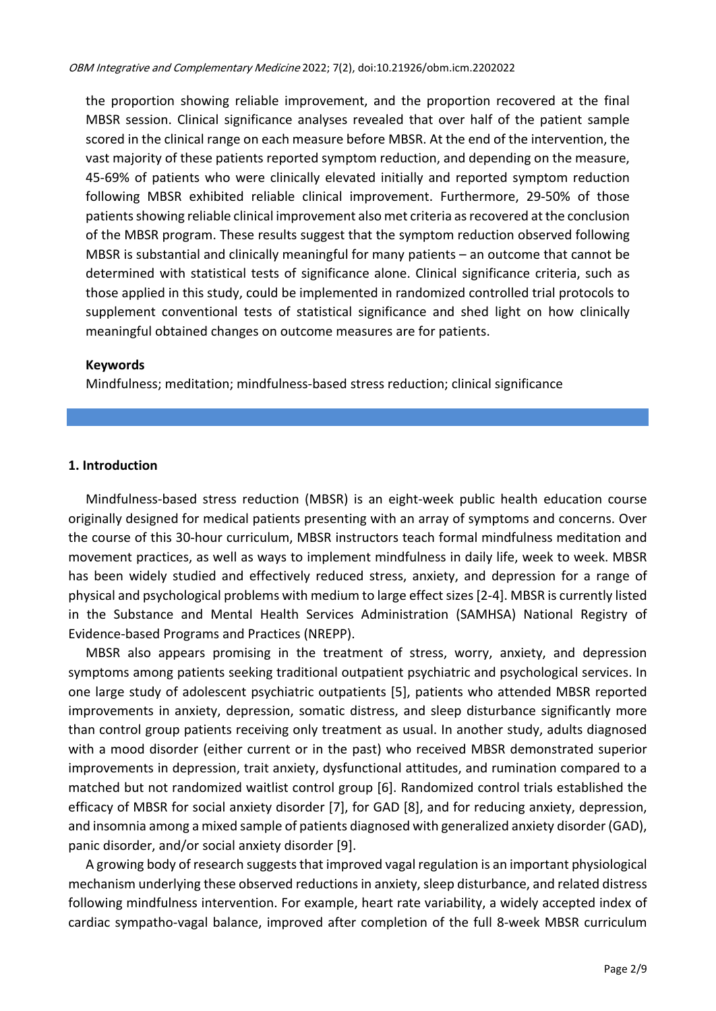the proportion showing reliable improvement, and the proportion recovered at the final MBSR session. Clinical significance analyses revealed that over half of the patient sample scored in the clinical range on each measure before MBSR. At the end of the intervention, the vast majority of these patients reported symptom reduction, and depending on the measure, 45-69% of patients who were clinically elevated initially and reported symptom reduction following MBSR exhibited reliable clinical improvement. Furthermore, 29-50% of those patients showing reliable clinical improvement also met criteria as recovered at the conclusion of the MBSR program. These results suggest that the symptom reduction observed following MBSR is substantial and clinically meaningful for many patients – an outcome that cannot be determined with statistical tests of significance alone. Clinical significance criteria, such as those applied in this study, could be implemented in randomized controlled trial protocols to supplement conventional tests of statistical significance and shed light on how clinically meaningful obtained changes on outcome measures are for patients.

#### **Keywords**

Mindfulness; meditation; mindfulness-based stress reduction; clinical significance

#### **1. Introduction**

Mindfulness-based stress reduction (MBSR) is an eight-week public health education course originally designed for medical patients presenting with an array of symptoms and concerns. Over the course of this 30-hour curriculum, MBSR instructors teach formal mindfulness meditation and movement practices, as well as ways to implement mindfulness in daily life, week to week. MBSR has been widely studied and effectively reduced stress, anxiety, and depression for a range of physical and psychological problems with medium to large effect sizes [2-4]. MBSR is currently listed in the Substance and Mental Health Services Administration (SAMHSA) National Registry of Evidence-based Programs and Practices (NREPP).

MBSR also appears promising in the treatment of stress, worry, anxiety, and depression symptoms among patients seeking traditional outpatient psychiatric and psychological services. In one large study of adolescent psychiatric outpatients [5], patients who attended MBSR reported improvements in anxiety, depression, somatic distress, and sleep disturbance significantly more than control group patients receiving only treatment as usual. In another study, adults diagnosed with a mood disorder (either current or in the past) who received MBSR demonstrated superior improvements in depression, trait anxiety, dysfunctional attitudes, and rumination compared to a matched but not randomized waitlist control group [6]. Randomized control trials established the efficacy of MBSR for social anxiety disorder [7], for GAD [8], and for reducing anxiety, depression, and insomnia among a mixed sample of patients diagnosed with generalized anxiety disorder (GAD), panic disorder, and/or social anxiety disorder [9].

A growing body of research suggeststhat improved vagal regulation is an important physiological mechanism underlying these observed reductions in anxiety, sleep disturbance, and related distress following mindfulness intervention. For example, heart rate variability, a widely accepted index of cardiac sympatho-vagal balance, improved after completion of the full 8-week MBSR curriculum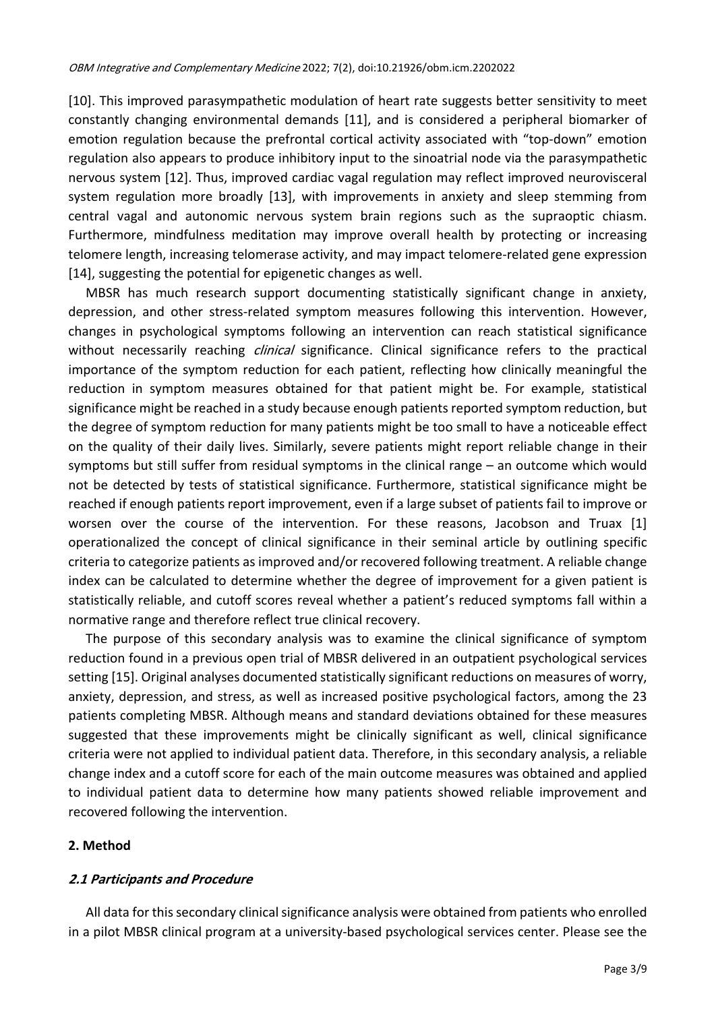[10]. This improved parasympathetic modulation of heart rate suggests better sensitivity to meet constantly changing environmental demands [11], and is considered a peripheral biomarker of emotion regulation because the prefrontal cortical activity associated with "top-down" emotion regulation also appears to produce inhibitory input to the sinoatrial node via the parasympathetic nervous system [12]. Thus, improved cardiac vagal regulation may reflect improved neurovisceral system regulation more broadly [13], with improvements in anxiety and sleep stemming from central vagal and autonomic nervous system brain regions such as the supraoptic chiasm. Furthermore, mindfulness meditation may improve overall health by protecting or increasing telomere length, increasing telomerase activity, and may impact telomere-related gene expression [14], suggesting the potential for epigenetic changes as well.

MBSR has much research support documenting statistically significant change in anxiety, depression, and other stress-related symptom measures following this intervention. However, changes in psychological symptoms following an intervention can reach statistical significance without necessarily reaching *clinical* significance. Clinical significance refers to the practical importance of the symptom reduction for each patient, reflecting how clinically meaningful the reduction in symptom measures obtained for that patient might be. For example, statistical significance might be reached in a study because enough patients reported symptom reduction, but the degree of symptom reduction for many patients might be too small to have a noticeable effect on the quality of their daily lives. Similarly, severe patients might report reliable change in their symptoms but still suffer from residual symptoms in the clinical range – an outcome which would not be detected by tests of statistical significance. Furthermore, statistical significance might be reached if enough patients report improvement, even if a large subset of patients fail to improve or worsen over the course of the intervention. For these reasons, Jacobson and Truax [1] operationalized the concept of clinical significance in their seminal article by outlining specific criteria to categorize patients as improved and/or recovered following treatment. A reliable change index can be calculated to determine whether the degree of improvement for a given patient is statistically reliable, and cutoff scores reveal whether a patient's reduced symptoms fall within a normative range and therefore reflect true clinical recovery.

The purpose of this secondary analysis was to examine the clinical significance of symptom reduction found in a previous open trial of MBSR delivered in an outpatient psychological services setting [15]. Original analyses documented statistically significant reductions on measures of worry, anxiety, depression, and stress, as well as increased positive psychological factors, among the 23 patients completing MBSR. Although means and standard deviations obtained for these measures suggested that these improvements might be clinically significant as well, clinical significance criteria were not applied to individual patient data. Therefore, in this secondary analysis, a reliable change index and a cutoff score for each of the main outcome measures was obtained and applied to individual patient data to determine how many patients showed reliable improvement and recovered following the intervention.

### **2. Method**

### **2.1 Participants and Procedure**

All data for this secondary clinical significance analysis were obtained from patients who enrolled in a pilot MBSR clinical program at a university-based psychological services center. Please see the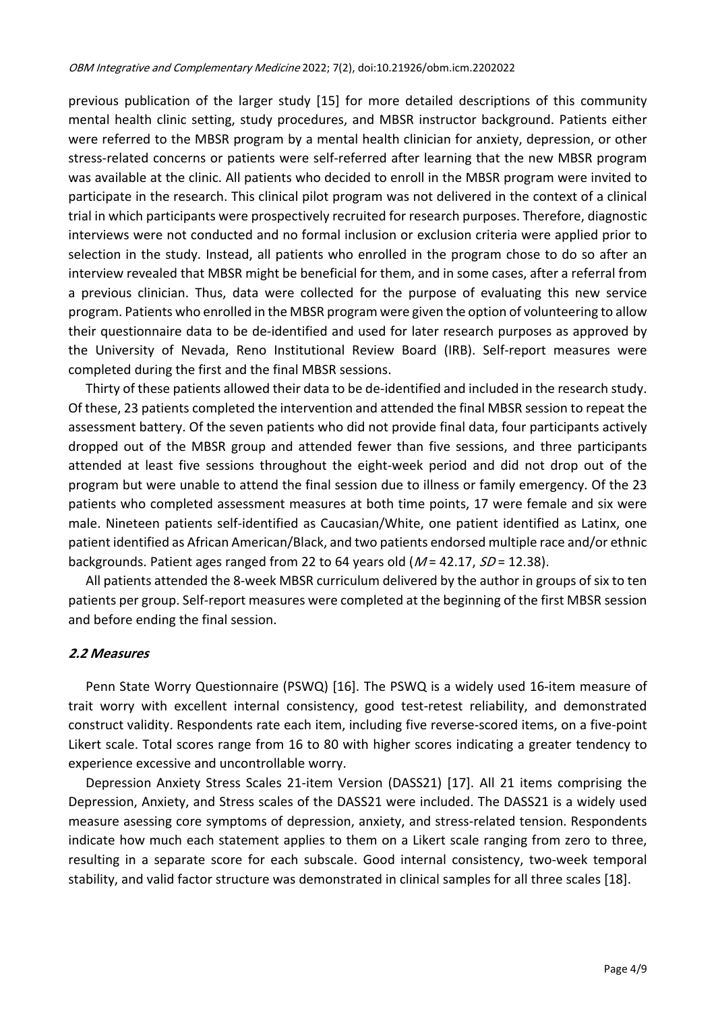previous publication of the larger study [15] for more detailed descriptions of this community mental health clinic setting, study procedures, and MBSR instructor background. Patients either were referred to the MBSR program by a mental health clinician for anxiety, depression, or other stress-related concerns or patients were self-referred after learning that the new MBSR program was available at the clinic. All patients who decided to enroll in the MBSR program were invited to participate in the research. This clinical pilot program was not delivered in the context of a clinical trial in which participants were prospectively recruited for research purposes. Therefore, diagnostic interviews were not conducted and no formal inclusion or exclusion criteria were applied prior to selection in the study. Instead, all patients who enrolled in the program chose to do so after an interview revealed that MBSR might be beneficial for them, and in some cases, after a referral from a previous clinician. Thus, data were collected for the purpose of evaluating this new service program. Patients who enrolled in the MBSR program were given the option of volunteering to allow their questionnaire data to be de-identified and used for later research purposes as approved by the University of Nevada, Reno Institutional Review Board (IRB). Self-report measures were completed during the first and the final MBSR sessions.

Thirty of these patients allowed their data to be de-identified and included in the research study. Of these, 23 patients completed the intervention and attended the final MBSR session to repeat the assessment battery. Of the seven patients who did not provide final data, four participants actively dropped out of the MBSR group and attended fewer than five sessions, and three participants attended at least five sessions throughout the eight-week period and did not drop out of the program but were unable to attend the final session due to illness or family emergency. Of the 23 patients who completed assessment measures at both time points, 17 were female and six were male. Nineteen patients self-identified as Caucasian/White, one patient identified as Latinx, one patient identified as African American/Black, and two patients endorsed multiple race and/or ethnic backgrounds. Patient ages ranged from 22 to 64 years old  $(M = 42.17, SD = 12.38)$ .

All patients attended the 8-week MBSR curriculum delivered by the author in groups of six to ten patients per group. Self-report measures were completed at the beginning of the first MBSR session and before ending the final session.

### **2.2 Measures**

Penn State Worry Questionnaire (PSWQ) [16]. The PSWQ is a widely used 16-item measure of trait worry with excellent internal consistency, good test-retest reliability, and demonstrated construct validity. Respondents rate each item, including five reverse-scored items, on a five-point Likert scale. Total scores range from 16 to 80 with higher scores indicating a greater tendency to experience excessive and uncontrollable worry.

Depression Anxiety Stress Scales 21-item Version (DASS21) [17]. All 21 items comprising the Depression, Anxiety, and Stress scales of the DASS21 were included. The DASS21 is a widely used measure asessing core symptoms of depression, anxiety, and stress-related tension. Respondents indicate how much each statement applies to them on a Likert scale ranging from zero to three, resulting in a separate score for each subscale. Good internal consistency, two-week temporal stability, and valid factor structure was demonstrated in clinical samples for all three scales [18].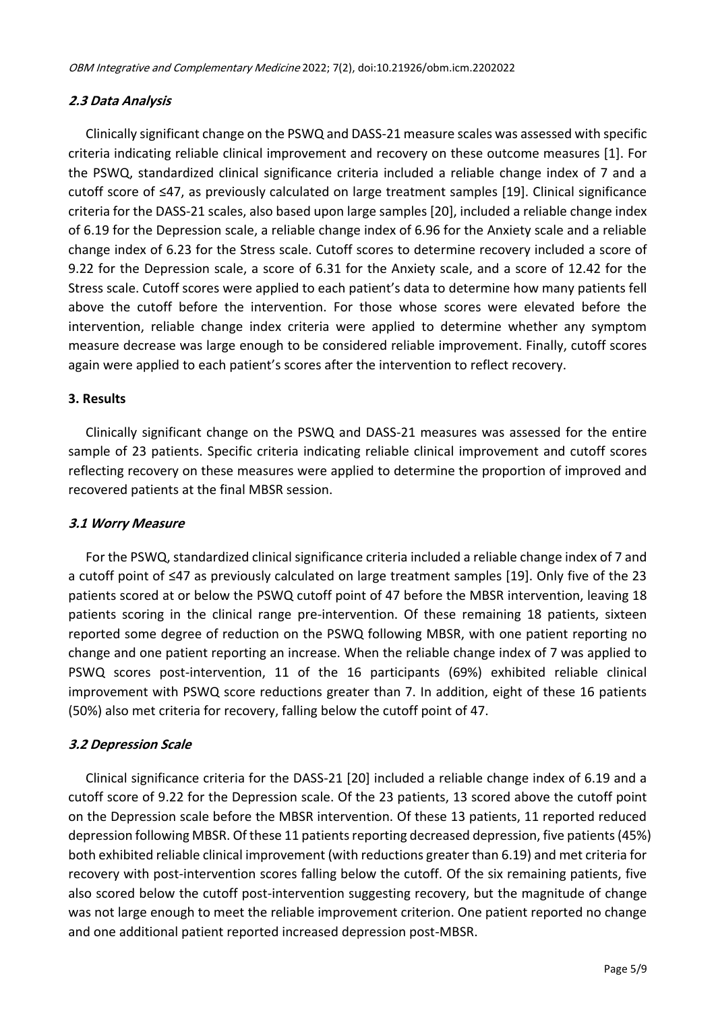## **2.3 Data Analysis**

Clinically significant change on the PSWQ and DASS-21 measure scales was assessed with specific criteria indicating reliable clinical improvement and recovery on these outcome measures [1]. For the PSWQ, standardized clinical significance criteria included a reliable change index of 7 and a cutoff score of ≤47, as previously calculated on large treatment samples [19]. Clinical significance criteria for the DASS-21 scales, also based upon large samples [20], included a reliable change index of 6.19 for the Depression scale, a reliable change index of 6.96 for the Anxiety scale and a reliable change index of 6.23 for the Stress scale. Cutoff scores to determine recovery included a score of 9.22 for the Depression scale, a score of 6.31 for the Anxiety scale, and a score of 12.42 for the Stress scale. Cutoff scores were applied to each patient's data to determine how many patients fell above the cutoff before the intervention. For those whose scores were elevated before the intervention, reliable change index criteria were applied to determine whether any symptom measure decrease was large enough to be considered reliable improvement. Finally, cutoff scores again were applied to each patient's scores after the intervention to reflect recovery.

# **3. Results**

Clinically significant change on the PSWQ and DASS-21 measures was assessed for the entire sample of 23 patients. Specific criteria indicating reliable clinical improvement and cutoff scores reflecting recovery on these measures were applied to determine the proportion of improved and recovered patients at the final MBSR session.

### **3.1 Worry Measure**

For the PSWQ, standardized clinical significance criteria included a reliable change index of 7 and a cutoff point of ≤47 as previously calculated on large treatment samples [19]. Only five of the 23 patients scored at or below the PSWQ cutoff point of 47 before the MBSR intervention, leaving 18 patients scoring in the clinical range pre-intervention. Of these remaining 18 patients, sixteen reported some degree of reduction on the PSWQ following MBSR, with one patient reporting no change and one patient reporting an increase. When the reliable change index of 7 was applied to PSWQ scores post-intervention, 11 of the 16 participants (69%) exhibited reliable clinical improvement with PSWQ score reductions greater than 7. In addition, eight of these 16 patients (50%) also met criteria for recovery, falling below the cutoff point of 47.

### **3.2 Depression Scale**

Clinical significance criteria for the DASS-21 [20] included a reliable change index of 6.19 and a cutoff score of 9.22 for the Depression scale. Of the 23 patients, 13 scored above the cutoff point on the Depression scale before the MBSR intervention. Of these 13 patients, 11 reported reduced depression following MBSR. Of these 11 patients reporting decreased depression, five patients (45%) both exhibited reliable clinical improvement (with reductions greater than 6.19) and met criteria for recovery with post-intervention scores falling below the cutoff. Of the six remaining patients, five also scored below the cutoff post-intervention suggesting recovery, but the magnitude of change was not large enough to meet the reliable improvement criterion. One patient reported no change and one additional patient reported increased depression post-MBSR.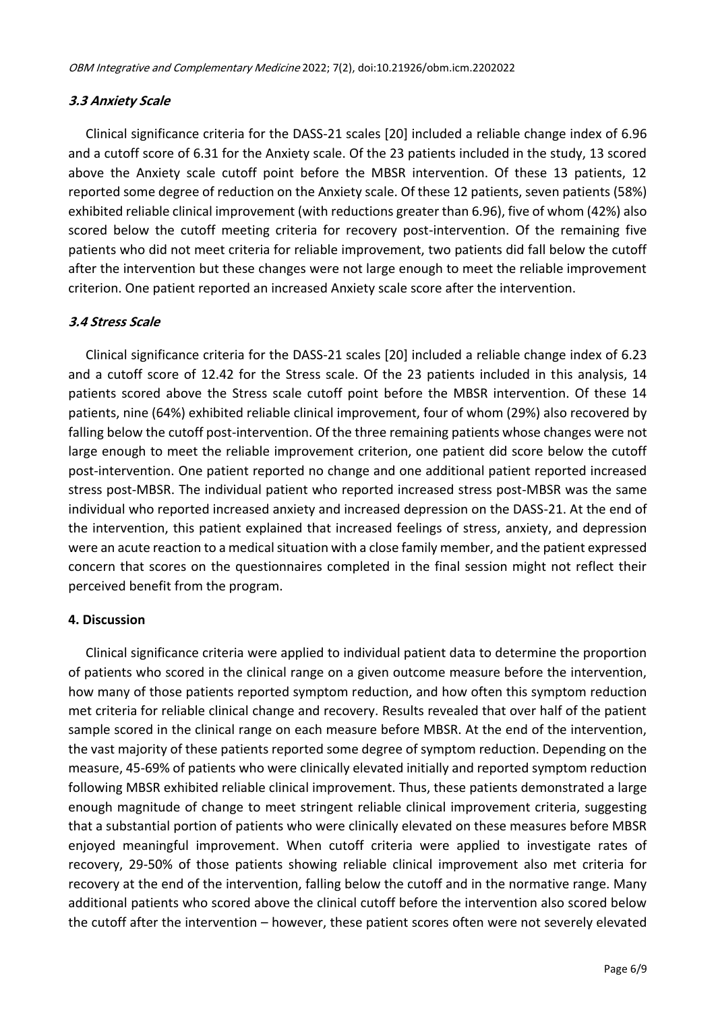# **3.3 Anxiety Scale**

Clinical significance criteria for the DASS-21 scales [20] included a reliable change index of 6.96 and a cutoff score of 6.31 for the Anxiety scale. Of the 23 patients included in the study, 13 scored above the Anxiety scale cutoff point before the MBSR intervention. Of these 13 patients, 12 reported some degree of reduction on the Anxiety scale. Of these 12 patients, seven patients (58%) exhibited reliable clinical improvement (with reductions greater than 6.96), five of whom (42%) also scored below the cutoff meeting criteria for recovery post-intervention. Of the remaining five patients who did not meet criteria for reliable improvement, two patients did fall below the cutoff after the intervention but these changes were not large enough to meet the reliable improvement criterion. One patient reported an increased Anxiety scale score after the intervention.

# **3.4 Stress Scale**

Clinical significance criteria for the DASS-21 scales [20] included a reliable change index of 6.23 and a cutoff score of 12.42 for the Stress scale. Of the 23 patients included in this analysis, 14 patients scored above the Stress scale cutoff point before the MBSR intervention. Of these 14 patients, nine (64%) exhibited reliable clinical improvement, four of whom (29%) also recovered by falling below the cutoff post-intervention. Of the three remaining patients whose changes were not large enough to meet the reliable improvement criterion, one patient did score below the cutoff post-intervention. One patient reported no change and one additional patient reported increased stress post-MBSR. The individual patient who reported increased stress post-MBSR was the same individual who reported increased anxiety and increased depression on the DASS-21. At the end of the intervention, this patient explained that increased feelings of stress, anxiety, and depression were an acute reaction to a medical situation with a close family member, and the patient expressed concern that scores on the questionnaires completed in the final session might not reflect their perceived benefit from the program.

### **4. Discussion**

Clinical significance criteria were applied to individual patient data to determine the proportion of patients who scored in the clinical range on a given outcome measure before the intervention, how many of those patients reported symptom reduction, and how often this symptom reduction met criteria for reliable clinical change and recovery. Results revealed that over half of the patient sample scored in the clinical range on each measure before MBSR. At the end of the intervention, the vast majority of these patients reported some degree of symptom reduction. Depending on the measure, 45-69% of patients who were clinically elevated initially and reported symptom reduction following MBSR exhibited reliable clinical improvement. Thus, these patients demonstrated a large enough magnitude of change to meet stringent reliable clinical improvement criteria, suggesting that a substantial portion of patients who were clinically elevated on these measures before MBSR enjoyed meaningful improvement. When cutoff criteria were applied to investigate rates of recovery, 29-50% of those patients showing reliable clinical improvement also met criteria for recovery at the end of the intervention, falling below the cutoff and in the normative range. Many additional patients who scored above the clinical cutoff before the intervention also scored below the cutoff after the intervention – however, these patient scores often were not severely elevated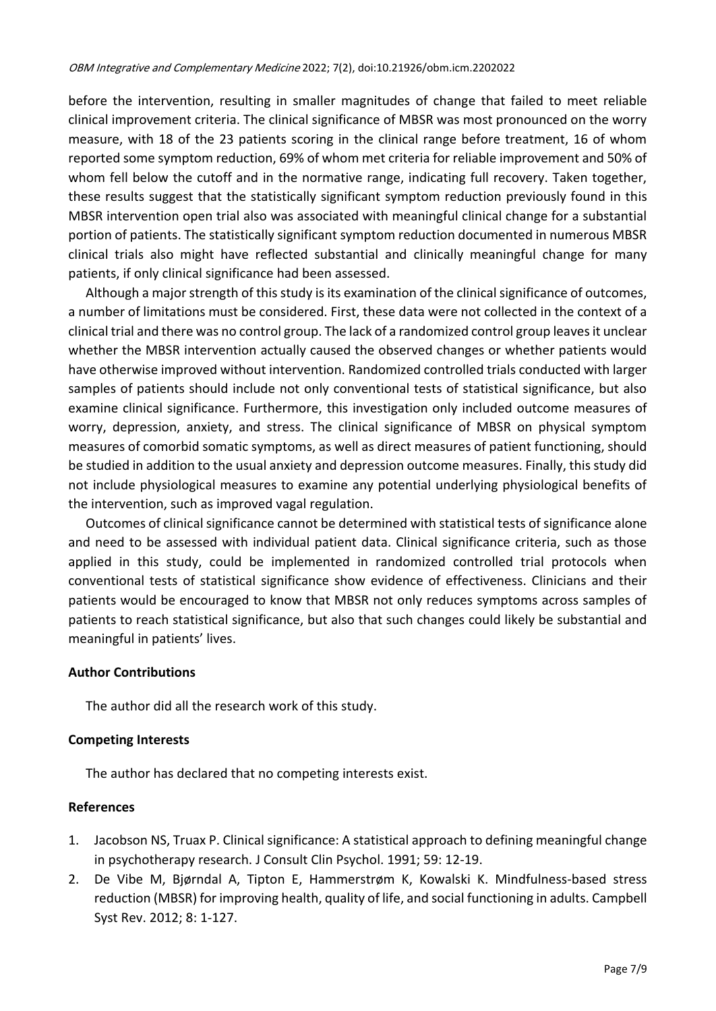before the intervention, resulting in smaller magnitudes of change that failed to meet reliable clinical improvement criteria. The clinical significance of MBSR was most pronounced on the worry measure, with 18 of the 23 patients scoring in the clinical range before treatment, 16 of whom reported some symptom reduction, 69% of whom met criteria for reliable improvement and 50% of whom fell below the cutoff and in the normative range, indicating full recovery. Taken together, these results suggest that the statistically significant symptom reduction previously found in this MBSR intervention open trial also was associated with meaningful clinical change for a substantial portion of patients. The statistically significant symptom reduction documented in numerous MBSR clinical trials also might have reflected substantial and clinically meaningful change for many patients, if only clinical significance had been assessed.

Although a major strength of this study is its examination of the clinical significance of outcomes, a number of limitations must be considered. First, these data were not collected in the context of a clinical trial and there was no control group. The lack of a randomized control group leaves it unclear whether the MBSR intervention actually caused the observed changes or whether patients would have otherwise improved without intervention. Randomized controlled trials conducted with larger samples of patients should include not only conventional tests of statistical significance, but also examine clinical significance. Furthermore, this investigation only included outcome measures of worry, depression, anxiety, and stress. The clinical significance of MBSR on physical symptom measures of comorbid somatic symptoms, as well as direct measures of patient functioning, should be studied in addition to the usual anxiety and depression outcome measures. Finally, this study did not include physiological measures to examine any potential underlying physiological benefits of the intervention, such as improved vagal regulation.

Outcomes of clinical significance cannot be determined with statistical tests of significance alone and need to be assessed with individual patient data. Clinical significance criteria, such as those applied in this study, could be implemented in randomized controlled trial protocols when conventional tests of statistical significance show evidence of effectiveness. Clinicians and their patients would be encouraged to know that MBSR not only reduces symptoms across samples of patients to reach statistical significance, but also that such changes could likely be substantial and meaningful in patients' lives.

# **Author Contributions**

The author did all the research work of this study.

### **Competing Interests**

The author has declared that no competing interests exist.

### **References**

- 1. Jacobson NS, Truax P. Clinical significance: A statistical approach to defining meaningful change in psychotherapy research. J Consult Clin Psychol. 1991; 59: 12-19.
- 2. De Vibe M, Bjørndal A, Tipton E, Hammerstrøm K, Kowalski K. Mindfulness-based stress reduction (MBSR) for improving health, quality of life, and social functioning in adults. Campbell Syst Rev. 2012; 8: 1-127.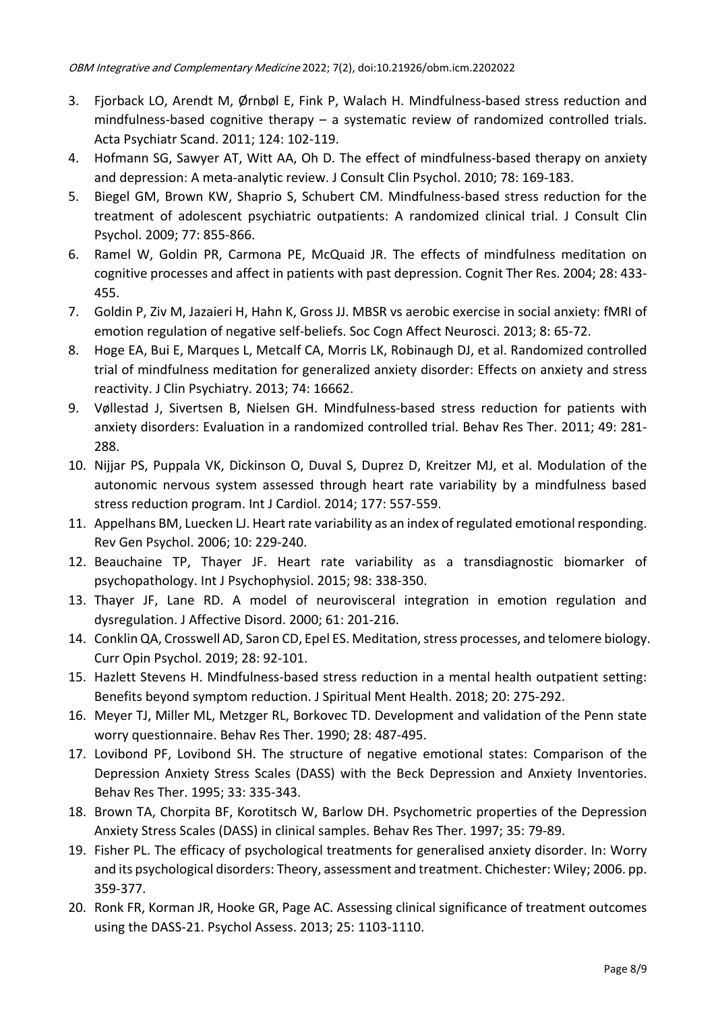- 3. Fjorback LO, Arendt M, Ø rnbøl E, Fink P, Walach H. Mindfulness-based stress reduction and mindfulness-based cognitive therapy – a systematic review of randomized controlled trials. Acta Psychiatr Scand. 2011; 124: 102-119.
- 4. Hofmann SG, Sawyer AT, Witt AA, Oh D. The effect of mindfulness-based therapy on anxiety and depression: A meta-analytic review. J Consult Clin Psychol. 2010; 78: 169-183.
- 5. Biegel GM, Brown KW, Shaprio S, Schubert CM. Mindfulness-based stress reduction for the treatment of adolescent psychiatric outpatients: A randomized clinical trial. J Consult Clin Psychol. 2009; 77: 855-866.
- 6. Ramel W, Goldin PR, Carmona PE, McQuaid JR. The effects of mindfulness meditation on cognitive processes and affect in patients with past depression. Cognit Ther Res. 2004; 28: 433- 455.
- 7. Goldin P, Ziv M, Jazaieri H, Hahn K, Gross JJ. MBSR vs aerobic exercise in social anxiety: fMRI of emotion regulation of negative self-beliefs. Soc Cogn Affect Neurosci. 2013; 8: 65-72.
- 8. Hoge EA, Bui E, Marques L, Metcalf CA, Morris LK, Robinaugh DJ, et al. Randomized controlled trial of mindfulness meditation for generalized anxiety disorder: Effects on anxiety and stress reactivity. J Clin Psychiatry. 2013; 74: 16662.
- 9. Vøllestad J, Sivertsen B, Nielsen GH. Mindfulness-based stress reduction for patients with anxiety disorders: Evaluation in a randomized controlled trial. Behav Res Ther. 2011; 49: 281- 288.
- 10. Nijjar PS, Puppala VK, Dickinson O, Duval S, Duprez D, Kreitzer MJ, et al. Modulation of the autonomic nervous system assessed through heart rate variability by a mindfulness based stress reduction program. Int J Cardiol. 2014; 177: 557-559.
- 11. Appelhans BM, Luecken LJ. Heart rate variability as an index of regulated emotional responding. Rev Gen Psychol. 2006; 10: 229-240.
- 12. Beauchaine TP, Thayer JF. Heart rate variability as a transdiagnostic biomarker of psychopathology. Int J Psychophysiol. 2015; 98: 338-350.
- 13. Thayer JF, Lane RD. A model of neurovisceral integration in emotion regulation and dysregulation. J Affective Disord. 2000; 61: 201-216.
- 14. Conklin QA, Crosswell AD, Saron CD, Epel ES. Meditation, stress processes, and telomere biology. Curr Opin Psychol. 2019; 28: 92-101.
- 15. Hazlett Stevens H. Mindfulness-based stress reduction in a mental health outpatient setting: Benefits beyond symptom reduction. J Spiritual Ment Health. 2018; 20: 275-292.
- 16. Meyer TJ, Miller ML, Metzger RL, Borkovec TD. Development and validation of the Penn state worry questionnaire. Behav Res Ther. 1990; 28: 487-495.
- 17. Lovibond PF, Lovibond SH. The structure of negative emotional states: Comparison of the Depression Anxiety Stress Scales (DASS) with the Beck Depression and Anxiety Inventories. Behav Res Ther. 1995; 33: 335-343.
- 18. Brown TA, Chorpita BF, Korotitsch W, Barlow DH. Psychometric properties of the Depression Anxiety Stress Scales (DASS) in clinical samples. Behav Res Ther. 1997; 35: 79-89.
- 19. Fisher PL. The efficacy of psychological treatments for generalised anxiety disorder. In: Worry and its psychological disorders: Theory, assessment and treatment. Chichester: Wiley; 2006. pp. 359-377.
- 20. Ronk FR, Korman JR, Hooke GR, Page AC. Assessing clinical significance of treatment outcomes using the DASS-21. Psychol Assess. 2013; 25: 1103-1110.